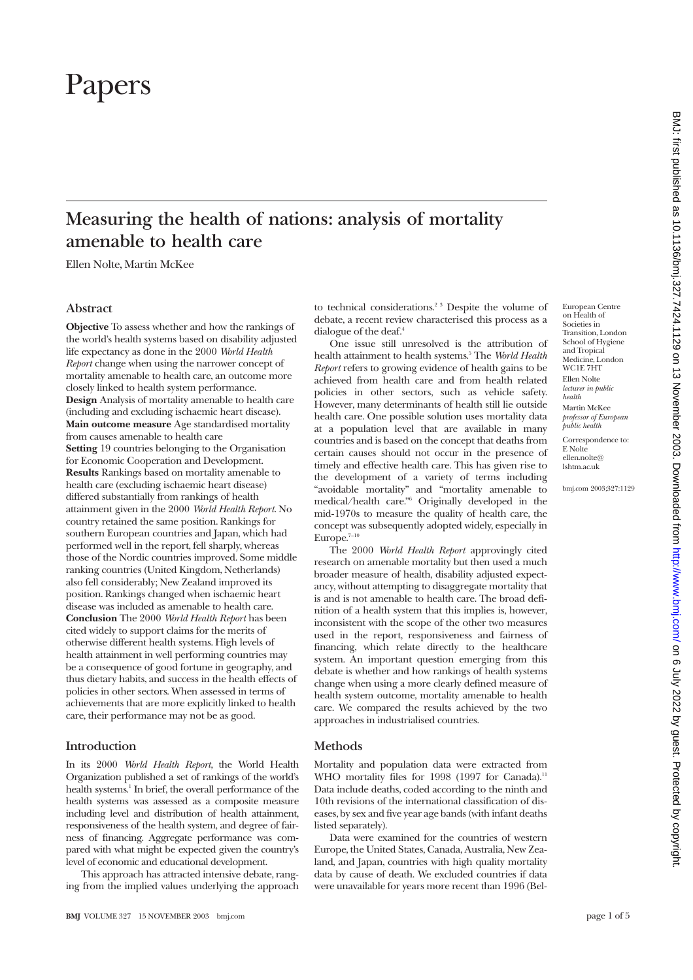# Papers

## **Measuring the health of nations: analysis of mortality amenable to health care**

Ellen Nolte, Martin McKee

#### **Abstract**

**Objective** To assess whether and how the rankings of the world's health systems based on disability adjusted life expectancy as done in the 2000 *World Health Report* change when using the narrower concept of mortality amenable to health care, an outcome more closely linked to health system performance. **Design** Analysis of mortality amenable to health care (including and excluding ischaemic heart disease). **Main outcome measure** Age standardised mortality from causes amenable to health care **Setting** 19 countries belonging to the Organisation for Economic Cooperation and Development. **Results** Rankings based on mortality amenable to health care (excluding ischaemic heart disease) differed substantially from rankings of health attainment given in the 2000 *World Health Report*. No country retained the same position. Rankings for southern European countries and Japan, which had performed well in the report, fell sharply, whereas those of the Nordic countries improved. Some middle ranking countries (United Kingdom, Netherlands) also fell considerably; New Zealand improved its position. Rankings changed when ischaemic heart disease was included as amenable to health care. **Conclusion** The 2000 *World Health Report* has been cited widely to support claims for the merits of otherwise different health systems. High levels of health attainment in well performing countries may be a consequence of good fortune in geography, and thus dietary habits, and success in the health effects of policies in other sectors. When assessed in terms of achievements that are more explicitly linked to health care, their performance may not be as good.

#### **Introduction**

In its 2000 *World Health Report*, the World Health Organization published a set of rankings of the world's health systems.<sup>1</sup> In brief, the overall performance of the health systems was assessed as a composite measure including level and distribution of health attainment, responsiveness of the health system, and degree of fairness of financing. Aggregate performance was compared with what might be expected given the country's level of economic and educational development.

This approach has attracted intensive debate, ranging from the implied values underlying the approach to technical considerations.<sup>2 3</sup> Despite the volume of debate, a recent review characterised this process as a dialogue of the deaf.4

One issue still unresolved is the attribution of health attainment to health systems.5 The *World Health Report* refers to growing evidence of health gains to be achieved from health care and from health related policies in other sectors, such as vehicle safety. However, many determinants of health still lie outside health care. One possible solution uses mortality data at a population level that are available in many countries and is based on the concept that deaths from certain causes should not occur in the presence of timely and effective health care. This has given rise to the development of a variety of terms including "avoidable mortality" and "mortality amenable to medical/health care."6 Originally developed in the mid-1970s to measure the quality of health care, the concept was subsequently adopted widely, especially in Europe. $7-10$ 

The 2000 *World Health Report* approvingly cited research on amenable mortality but then used a much broader measure of health, disability adjusted expectancy, without attempting to disaggregate mortality that is and is not amenable to health care. The broad definition of a health system that this implies is, however, inconsistent with the scope of the other two measures used in the report, responsiveness and fairness of financing, which relate directly to the healthcare system. An important question emerging from this debate is whether and how rankings of health systems change when using a more clearly defined measure of health system outcome, mortality amenable to health care. We compared the results achieved by the two approaches in industrialised countries.

#### **Methods**

Mortality and population data were extracted from WHO mortality files for 1998 (1997 for Canada).<sup>11</sup> Data include deaths, coded according to the ninth and 10th revisions of the international classification of diseases, by sex and five year age bands (with infant deaths listed separately).

Data were examined for the countries of western Europe, the United States, Canada, Australia, New Zealand, and Japan, countries with high quality mortality data by cause of death. We excluded countries if data were unavailable for years more recent than 1996 (BelEuropean Centre on Health of Societies in Transition, London School of Hygiene and Tropical Medicine, London WC1E 7HT Ellen Nolte *lecturer in public health* Martin McKee

*professor of European public health* Correspondence to:

bmj.com 2003;327:1129

E Nolte ellen.nolte@ lshtm.ac.uk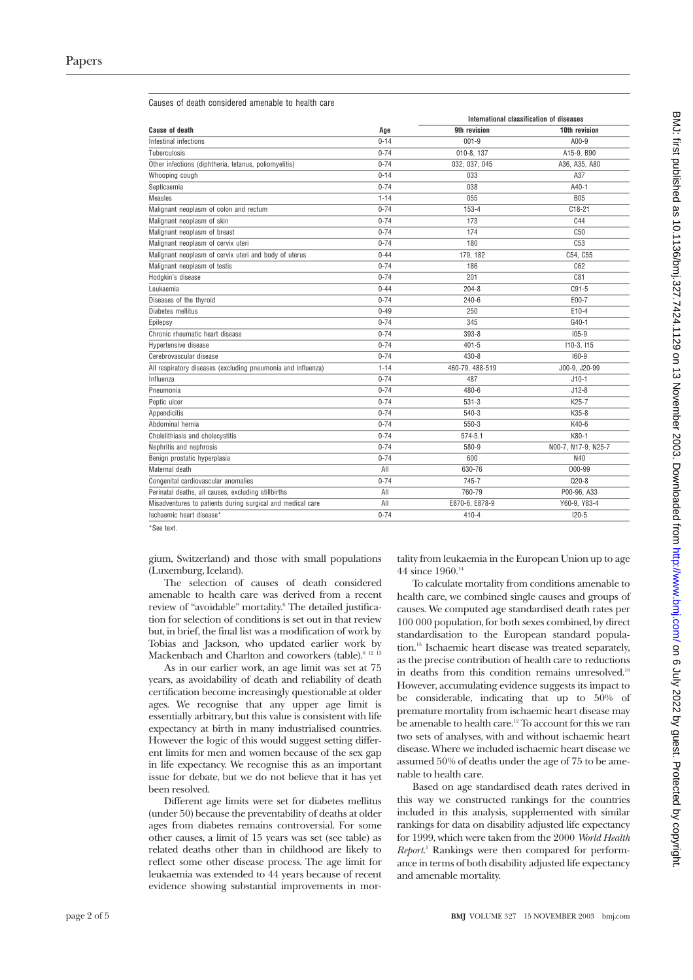| <b>Cause of death</b>                                        | Aqe      | International classification of diseases |                     |
|--------------------------------------------------------------|----------|------------------------------------------|---------------------|
|                                                              |          | 9th revision                             | 10th revision       |
| Intestinal infections                                        | $0 - 14$ | $001 - 9$                                | A00-9               |
| Tuberculosis                                                 | $0 - 74$ | 010-8, 137                               | A15-9, B90          |
| Other infections (diphtheria, tetanus, poliomyelitis)        | $0 - 74$ | 032, 037, 045                            | A36, A35, A80       |
| Whooping cough                                               | $0 - 14$ | 033                                      | A37                 |
| Septicaemia                                                  | $0 - 74$ | 038                                      | A40-1               |
| Measles                                                      | $1 - 14$ | 055                                      | <b>B05</b>          |
| Malignant neoplasm of colon and rectum                       | $0 - 74$ | $153 - 4$                                | $C18-21$            |
| Malignant neoplasm of skin                                   | $0 - 74$ | 173                                      | C44                 |
| Malignant neoplasm of breast                                 | $0 - 74$ | 174                                      | C50                 |
| Malignant neoplasm of cervix uteri                           | $0 - 74$ | 180                                      | C53                 |
| Malignant neoplasm of cervix uteri and body of uterus        | $0 - 44$ | 179, 182                                 | C54, C55            |
| Malignant neoplasm of testis                                 | $0 - 74$ | 186                                      | C62                 |
| Hodgkin's disease                                            | $0 - 74$ | 201                                      | C81                 |
| Leukaemia                                                    | $0 - 44$ | $204 - 8$                                | C91-5               |
| Diseases of the thyroid                                      | $0 - 74$ | $240 - 6$                                | E00-7               |
| Diabetes mellitus                                            | $0 - 49$ | 250                                      | $E10-4$             |
| Epilepsy                                                     | $0 - 74$ | 345                                      | G40-1               |
| Chronic rheumatic heart disease                              | $0 - 74$ | $393 - 8$                                | $105 - 9$           |
| Hypertensive disease                                         | $0 - 74$ | $401 - 5$                                | 110-3, 115          |
| Cerebrovascular disease                                      | $0 - 74$ | $430 - 8$                                | $160 - 9$           |
| All respiratory diseases (excluding pneumonia and influenza) | $1 - 14$ | 460-79, 488-519                          | J00-9, J20-99       |
| Influenza                                                    | $0 - 74$ | 487                                      | $J10-1$             |
| Pneumonia                                                    | $0 - 74$ | 480-6                                    | $J12-8$             |
| Peptic ulcer                                                 | $0 - 74$ | $531 - 3$                                | K25-7               |
| Appendicitis                                                 | $0 - 74$ | $540-3$                                  | K35-8               |
| Abdominal hernia                                             | $0 - 74$ | $550-3$                                  | K40-6               |
| Cholelithiasis and cholecystitis                             | $0 - 74$ | 574-5.1                                  | K80-1               |
| Nephritis and nephrosis                                      | $0 - 74$ | 580-9                                    | NO0-7, N17-9, N25-7 |
| Benign prostatic hyperplasia                                 | $0 - 74$ | 600                                      | N40                 |
| Maternal death                                               | All      | 630-76                                   | 000-99              |
| Congenital cardiovascular anomalies                          | $0 - 74$ | 745-7                                    | $Q20-8$             |
| Perinatal deaths, all causes, excluding stillbirths          | All      | 760-79                                   | P00-96, A33         |
| Misadventures to patients during surgical and medical care   | All      | E870-6, E878-9                           | Y60-9, Y83-4        |
| Ischaemic heart disease*                                     | $0 - 74$ | $410 - 4$                                | $120 - 5$           |

Causes of death considered amenable to health care

\*See text.

gium, Switzerland) and those with small populations (Luxemburg, Iceland).

The selection of causes of death considered amenable to health care was derived from a recent review of "avoidable" mortality.<sup>6</sup> The detailed justification for selection of conditions is set out in that review but, in brief, the final list was a modification of work by Tobias and Jackson, who updated earlier work by Mackenbach and Charlton and coworkers (table).<sup>8 12</sup> 13

As in our earlier work, an age limit was set at 75 years, as avoidability of death and reliability of death certification become increasingly questionable at older ages. We recognise that any upper age limit is essentially arbitrary, but this value is consistent with life expectancy at birth in many industrialised countries. However the logic of this would suggest setting different limits for men and women because of the sex gap in life expectancy. We recognise this as an important issue for debate, but we do not believe that it has yet been resolved.

Different age limits were set for diabetes mellitus (under 50) because the preventability of deaths at older ages from diabetes remains controversial. For some other causes, a limit of 15 years was set (see table) as related deaths other than in childhood are likely to reflect some other disease process. The age limit for leukaemia was extended to 44 years because of recent evidence showing substantial improvements in mortality from leukaemia in the European Union up to age 44 since 1960.14

To calculate mortality from conditions amenable to health care, we combined single causes and groups of causes. We computed age standardised death rates per 100 000 population, for both sexes combined, by direct standardisation to the European standard population.15 Ischaemic heart disease was treated separately, as the precise contribution of health care to reductions in deaths from this condition remains unresolved.<sup>16</sup> However, accumulating evidence suggests its impact to be considerable, indicating that up to 50% of premature mortality from ischaemic heart disease may be amenable to health care.<sup>12</sup> To account for this we ran two sets of analyses, with and without ischaemic heart disease. Where we included ischaemic heart disease we assumed 50% of deaths under the age of 75 to be amenable to health care.

Based on age standardised death rates derived in this way we constructed rankings for the countries included in this analysis, supplemented with similar rankings for data on disability adjusted life expectancy for 1999, which were taken from the 2000 *World Health Report*. <sup>1</sup> Rankings were then compared for performance in terms of both disability adjusted life expectancy and amenable mortality.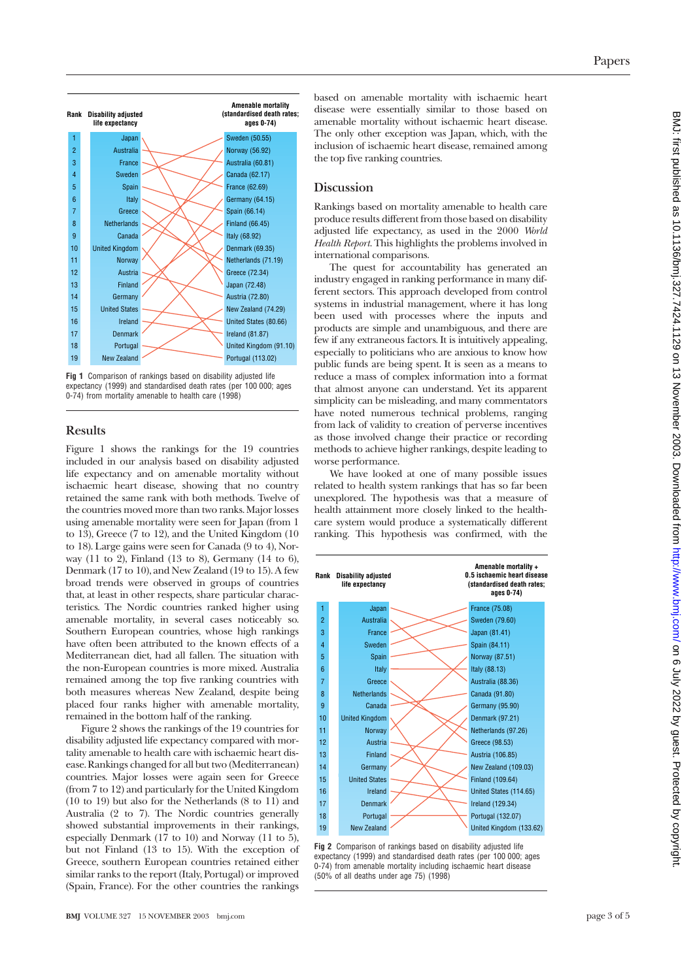

**Fig 1** Comparison of rankings based on disability adjusted life expectancy (1999) and standardised death rates (per 100 000; ages 0-74) from mortality amenable to health care (1998)

#### **Results**

Figure 1 shows the rankings for the 19 countries included in our analysis based on disability adjusted life expectancy and on amenable mortality without ischaemic heart disease, showing that no country retained the same rank with both methods. Twelve of the countries moved more than two ranks. Major losses using amenable mortality were seen for Japan (from 1 to 13), Greece (7 to 12), and the United Kingdom (10 to 18). Large gains were seen for Canada (9 to 4), Norway (11 to 2), Finland (13 to 8), Germany (14 to 6), Denmark (17 to 10), and New Zealand (19 to 15). A few broad trends were observed in groups of countries that, at least in other respects, share particular characteristics. The Nordic countries ranked higher using amenable mortality, in several cases noticeably so. Southern European countries, whose high rankings have often been attributed to the known effects of a Mediterranean diet, had all fallen. The situation with the non-European countries is more mixed. Australia remained among the top five ranking countries with both measures whereas New Zealand, despite being placed four ranks higher with amenable mortality, remained in the bottom half of the ranking.

Figure 2 shows the rankings of the 19 countries for disability adjusted life expectancy compared with mortality amenable to health care with ischaemic heart disease. Rankings changed for all but two (Mediterranean) countries. Major losses were again seen for Greece (from 7 to 12) and particularly for the United Kingdom (10 to 19) but also for the Netherlands (8 to 11) and Australia (2 to 7). The Nordic countries generally showed substantial improvements in their rankings, especially Denmark (17 to 10) and Norway (11 to 5), but not Finland (13 to 15). With the exception of Greece, southern European countries retained either similar ranks to the report (Italy, Portugal) or improved (Spain, France). For the other countries the rankings based on amenable mortality with ischaemic heart disease were essentially similar to those based on amenable mortality without ischaemic heart disease. The only other exception was Japan, which, with the inclusion of ischaemic heart disease, remained among the top five ranking countries.

#### **Discussion**

Rankings based on mortality amenable to health care produce results different from those based on disability adjusted life expectancy, as used in the 2000 *World Health Report*. This highlights the problems involved in international comparisons.

The quest for accountability has generated an industry engaged in ranking performance in many different sectors. This approach developed from control systems in industrial management, where it has long been used with processes where the inputs and products are simple and unambiguous, and there are few if any extraneous factors. It is intuitively appealing, especially to politicians who are anxious to know how public funds are being spent. It is seen as a means to reduce a mass of complex information into a format that almost anyone can understand. Yet its apparent simplicity can be misleading, and many commentators have noted numerous technical problems, ranging from lack of validity to creation of perverse incentives as those involved change their practice or recording methods to achieve higher rankings, despite leading to worse performance.

We have looked at one of many possible issues related to health system rankings that has so far been unexplored. The hypothesis was that a measure of health attainment more closely linked to the healthcare system would produce a systematically different ranking. This hypothesis was confirmed, with the



**Fig 2** Comparison of rankings based on disability adjusted life expectancy (1999) and standardised death rates (per 100 000; ages 0-74) from amenable mortality including ischaemic heart disease (50% of all deaths under age 75) (1998)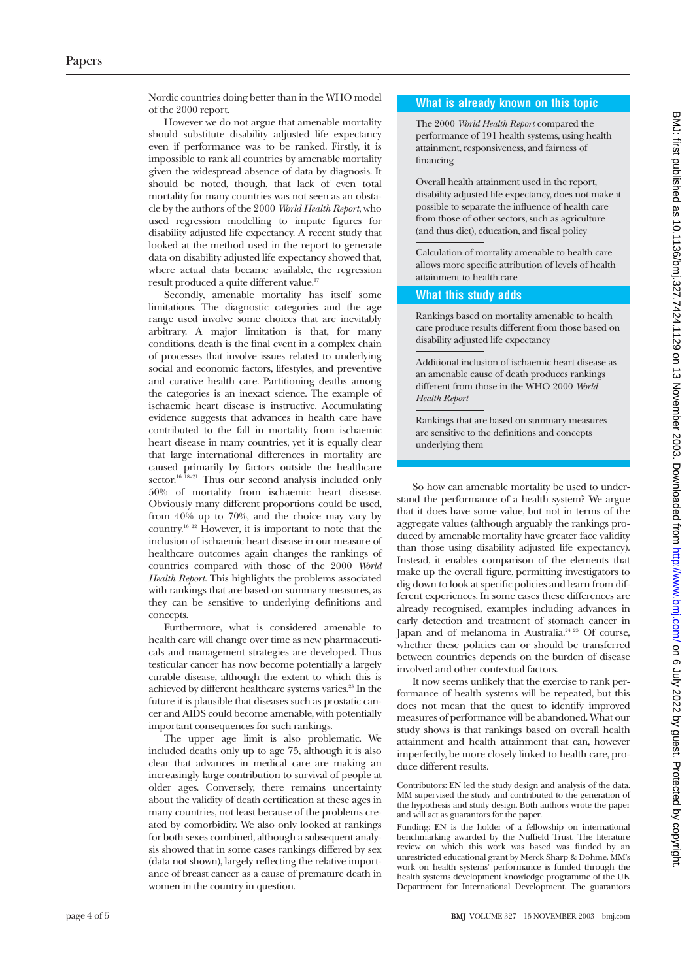#### Nordic countries doing better than in the WHO model of the 2000 report.

However we do not argue that amenable mortality should substitute disability adjusted life expectancy even if performance was to be ranked. Firstly, it is impossible to rank all countries by amenable mortality given the widespread absence of data by diagnosis. It should be noted, though, that lack of even total mortality for many countries was not seen as an obstacle by the authors of the 2000 *World Health Report*, who used regression modelling to impute figures for disability adjusted life expectancy. A recent study that looked at the method used in the report to generate data on disability adjusted life expectancy showed that, where actual data became available, the regression result produced a quite different value.<sup>17</sup>

Secondly, amenable mortality has itself some limitations. The diagnostic categories and the age range used involve some choices that are inevitably arbitrary. A major limitation is that, for many conditions, death is the final event in a complex chain of processes that involve issues related to underlying social and economic factors, lifestyles, and preventive and curative health care. Partitioning deaths among the categories is an inexact science. The example of ischaemic heart disease is instructive. Accumulating evidence suggests that advances in health care have contributed to the fall in mortality from ischaemic heart disease in many countries, yet it is equally clear that large international differences in mortality are caused primarily by factors outside the healthcare sector.<sup>16 18-21</sup> Thus our second analysis included only 50% of mortality from ischaemic heart disease. Obviously many different proportions could be used, from 40% up to 70%, and the choice may vary by country.<sup>16 22</sup> However, it is important to note that the inclusion of ischaemic heart disease in our measure of healthcare outcomes again changes the rankings of countries compared with those of the 2000 *World Health Report*. This highlights the problems associated with rankings that are based on summary measures, as they can be sensitive to underlying definitions and concepts.

Furthermore, what is considered amenable to health care will change over time as new pharmaceuticals and management strategies are developed. Thus testicular cancer has now become potentially a largely curable disease, although the extent to which this is achieved by different healthcare systems varies.23 In the future it is plausible that diseases such as prostatic cancer and AIDS could become amenable, with potentially important consequences for such rankings.

The upper age limit is also problematic. We included deaths only up to age 75, although it is also clear that advances in medical care are making an increasingly large contribution to survival of people at older ages. Conversely, there remains uncertainty about the validity of death certification at these ages in many countries, not least because of the problems created by comorbidity. We also only looked at rankings for both sexes combined, although a subsequent analysis showed that in some cases rankings differed by sex (data not shown), largely reflecting the relative importance of breast cancer as a cause of premature death in women in the country in question.

### **What is already known on this topic**

The 2000 *World Health Report* compared the performance of 191 health systems, using health attainment, responsiveness, and fairness of financing

Overall health attainment used in the report, disability adjusted life expectancy, does not make it possible to separate the influence of health care from those of other sectors, such as agriculture (and thus diet), education, and fiscal policy

Calculation of mortality amenable to health care allows more specific attribution of levels of health attainment to health care

#### **What this study adds**

Rankings based on mortality amenable to health care produce results different from those based on disability adjusted life expectancy

Additional inclusion of ischaemic heart disease as an amenable cause of death produces rankings different from those in the WHO 2000 *World Health Report*

Rankings that are based on summary measures are sensitive to the definitions and concepts underlying them

So how can amenable mortality be used to understand the performance of a health system? We argue that it does have some value, but not in terms of the aggregate values (although arguably the rankings produced by amenable mortality have greater face validity than those using disability adjusted life expectancy). Instead, it enables comparison of the elements that make up the overall figure, permitting investigators to dig down to look at specific policies and learn from different experiences. In some cases these differences are already recognised, examples including advances in early detection and treatment of stomach cancer in Japan and of melanoma in Australia.<sup>24 25</sup> Of course, whether these policies can or should be transferred between countries depends on the burden of disease involved and other contextual factors.

It now seems unlikely that the exercise to rank performance of health systems will be repeated, but this does not mean that the quest to identify improved measures of performance will be abandoned. What our study shows is that rankings based on overall health attainment and health attainment that can, however imperfectly, be more closely linked to health care, produce different results.

Contributors: EN led the study design and analysis of the data. MM supervised the study and contributed to the generation of the hypothesis and study design. Both authors wrote the paper and will act as guarantors for the paper.

Funding: EN is the holder of a fellowship on international benchmarking awarded by the Nuffield Trust. The literature review on which this work was based was funded by an unrestricted educational grant by Merck Sharp & Dohme. MM's work on health systems' performance is funded through the health systems development knowledge programme of the UK Department for International Development. The guarantors